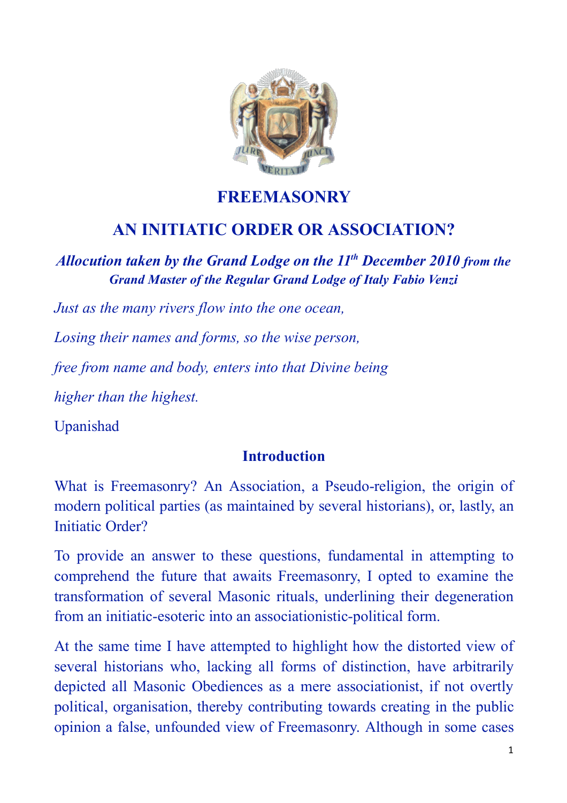

## **FREEMASONRY**

# **AN INITIATIC ORDER OR ASSOCIATION?**

*Allocution taken by the Grand Lodge on the 11th December 2010 from the Grand Master of the Regular Grand Lodge of Italy Fabio Venzi*

*Just as the many rivers flow into the one ocean,*

*Losing their names and forms, so the wise person,*

*free from name and body, enters into that Divine being*

*higher than the highest.*

Upanishad

#### **Introduction**

What is Freemasonry? An Association, a Pseudo-religion, the origin of modern political parties (as maintained by several historians), or, lastly, an Initiatic Order?

To provide an answer to these questions, fundamental in attempting to comprehend the future that awaits Freemasonry, I opted to examine the transformation of several Masonic rituals, underlining their degeneration from an initiatic-esoteric into an associationistic-political form.

At the same time I have attempted to highlight how the distorted view of several historians who, lacking all forms of distinction, have arbitrarily depicted all Masonic Obediences as a mere associationist, if not overtly political, organisation, thereby contributing towards creating in the public opinion a false, unfounded view of Freemasonry. Although in some cases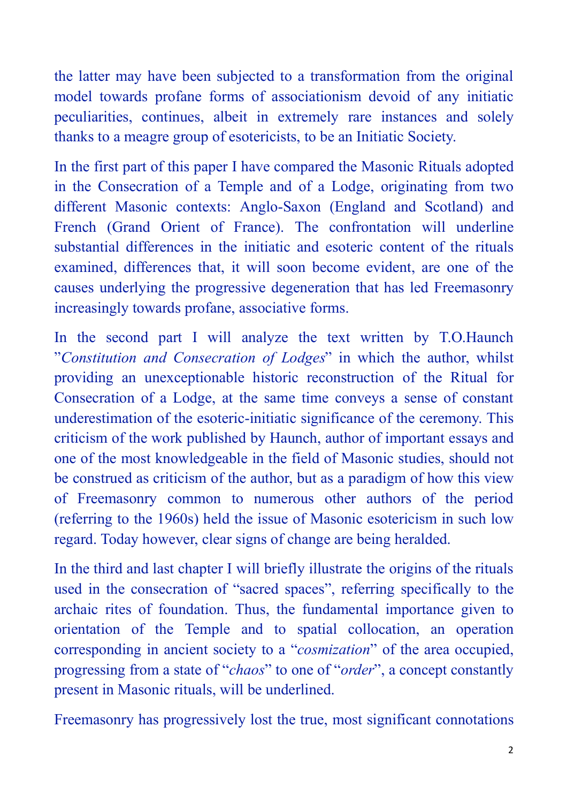the latter may have been subjected to a transformation from the original model towards profane forms of associationism devoid of any initiatic peculiarities, continues, albeit in extremely rare instances and solely thanks to a meagre group of esotericists, to be an Initiatic Society.

In the first part of this paper I have compared the Masonic Rituals adopted in the Consecration of a Temple and of a Lodge, originating from two different Masonic contexts: Anglo-Saxon (England and Scotland) and French (Grand Orient of France). The confrontation will underline substantial differences in the initiatic and esoteric content of the rituals examined, differences that, it will soon become evident, are one of the causes underlying the progressive degeneration that has led Freemasonry increasingly towards profane, associative forms.

In the second part I will analyze the text written by T.O.Haunch "*Constitution and Consecration of Lodges*" in which the author, whilst providing an unexceptionable historic reconstruction of the Ritual for Consecration of a Lodge, at the same time conveys a sense of constant underestimation of the esoteric-initiatic significance of the ceremony. This criticism of the work published by Haunch, author of important essays and one of the most knowledgeable in the field of Masonic studies, should not be construed as criticism of the author, but as a paradigm of how this view of Freemasonry common to numerous other authors of the period (referring to the 1960s) held the issue of Masonic esotericism in such low regard. Today however, clear signs of change are being heralded.

In the third and last chapter I will briefly illustrate the origins of the rituals used in the consecration of "sacred spaces", referring specifically to the archaic rites of foundation. Thus, the fundamental importance given to orientation of the Temple and to spatial collocation, an operation corresponding in ancient society to a "*cosmization*" of the area occupied, progressing from a state of "*chaos*" to one of "*order*", a concept constantly present in Masonic rituals, will be underlined.

Freemasonry has progressively lost the true, most significant connotations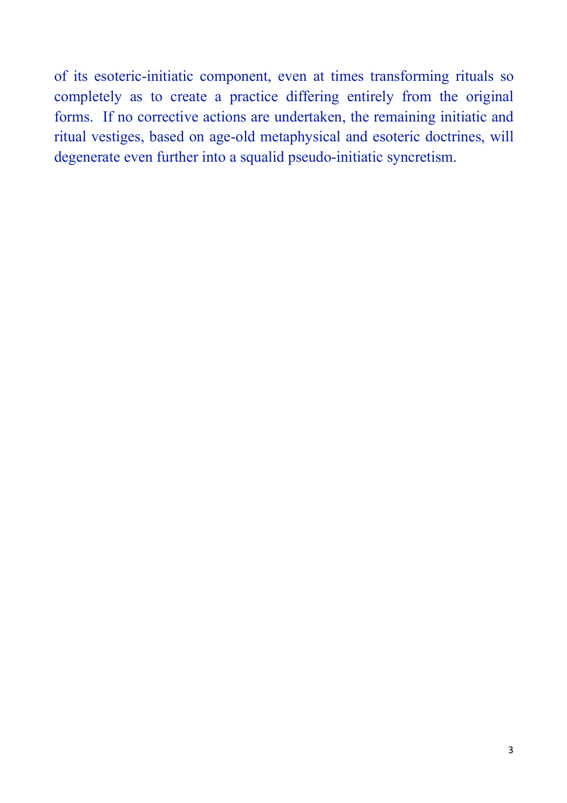of its esoteric-initiatic component, even at times transforming rituals so completely as to create a practice differing entirely from the original forms. If no corrective actions are undertaken, the remaining initiatic and ritual vestiges, based on age-old metaphysical and esoteric doctrines, will degenerate even further into a squalid pseudo-initiatic syncretism.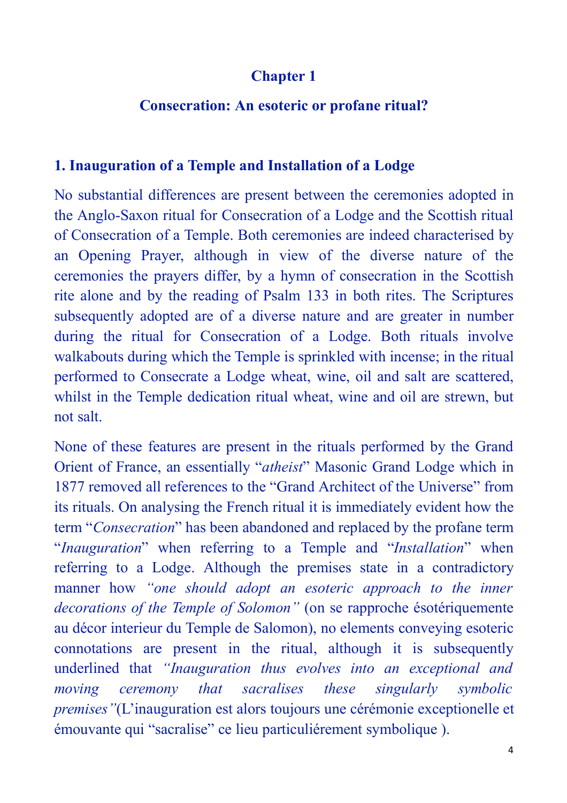### **Chapter 1**

#### **Consecration: An esoteric or profane ritual?**

#### **1. Inauguration of a Temple and Installation of a Lodge**

No substantial differences are present between the ceremonies adopted in the Anglo-Saxon ritual for Consecration of a Lodge and the Scottish ritual of Consecration of a Temple. Both ceremonies are indeed characterised by an Opening Prayer, although in view of the diverse nature of the ceremonies the prayers differ, by a hymn of consecration in the Scottish rite alone and by the reading of Psalm 133 in both rites. The Scriptures subsequently adopted are of a diverse nature and are greater in number during the ritual for Consecration of a Lodge. Both rituals involve walkabouts during which the Temple is sprinkled with incense; in the ritual performed to Consecrate a Lodge wheat, wine, oil and salt are scattered, whilst in the Temple dedication ritual wheat, wine and oil are strewn, but not salt.

None of these features are present in the rituals performed by the Grand Orient of France, an essentially "*atheist*" Masonic Grand Lodge which in 1877 removed all references to the "Grand Architect of the Universe" from its rituals. On analysing the French ritual it is immediately evident how the term "*Consecration*" has been abandoned and replaced by the profane term "*Inauguration*" when referring to a Temple and "*Installation*" when referring to a Lodge. Although the premises state in a contradictory manner how *"one should adopt an esoteric approach to the inner decorations of the Temple of Solomon"* (on se rapproche ésotériquemente au décor interieur du Temple de Salomon), no elements conveying esoteric connotations are present in the ritual, although it is subsequently underlined that *"Inauguration thus evolves into an exceptional and moving ceremony that sacralises these singularly symbolic premises"*(L'inauguration est alors toujours une cérémonie exceptionelle et émouvante qui "sacralise" ce lieu particuliérement symbolique ).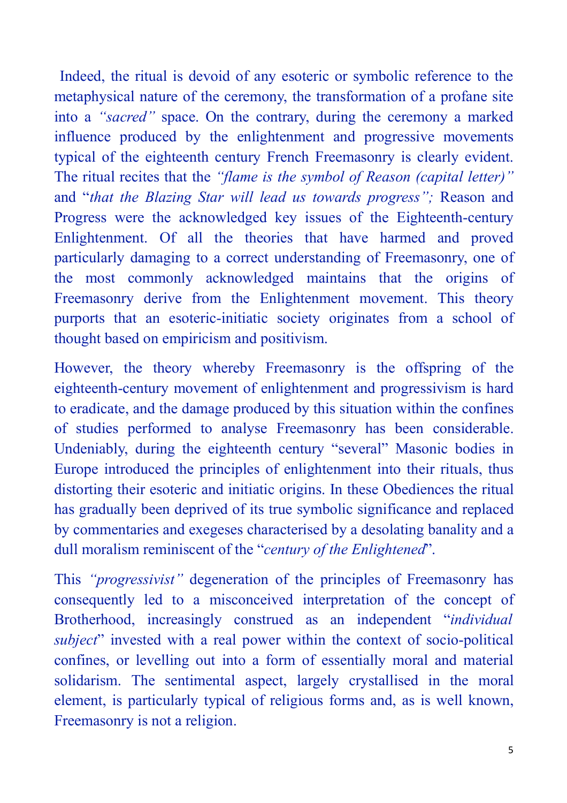Indeed, the ritual is devoid of any esoteric or symbolic reference to the metaphysical nature of the ceremony, the transformation of a profane site into a *"sacred"* space. On the contrary, during the ceremony a marked influence produced by the enlightenment and progressive movements typical of the eighteenth century French Freemasonry is clearly evident. The ritual recites that the *"flame is the symbol of Reason (capital letter)"* and "*that the Blazing Star will lead us towards progress";* Reason and Progress were the acknowledged key issues of the Eighteenth-century Enlightenment. Of all the theories that have harmed and proved particularly damaging to a correct understanding of Freemasonry, one of the most commonly acknowledged maintains that the origins of Freemasonry derive from the Enlightenment movement. This theory purports that an esoteric-initiatic society originates from a school of thought based on empiricism and positivism.

However, the theory whereby Freemasonry is the offspring of the eighteenth-century movement of enlightenment and progressivism is hard to eradicate, and the damage produced by this situation within the confines of studies performed to analyse Freemasonry has been considerable. Undeniably, during the eighteenth century "several" Masonic bodies in Europe introduced the principles of enlightenment into their rituals, thus distorting their esoteric and initiatic origins. In these Obediences the ritual has gradually been deprived of its true symbolic significance and replaced by commentaries and exegeses characterised by a desolating banality and a dull moralism reminiscent of the "*century of the Enlightened*".

This *"progressivist"* degeneration of the principles of Freemasonry has consequently led to a misconceived interpretation of the concept of Brotherhood, increasingly construed as an independent "*individual subject*" invested with a real power within the context of socio-political confines, or levelling out into a form of essentially moral and material solidarism. The sentimental aspect, largely crystallised in the moral element, is particularly typical of religious forms and, as is well known, Freemasonry is not a religion.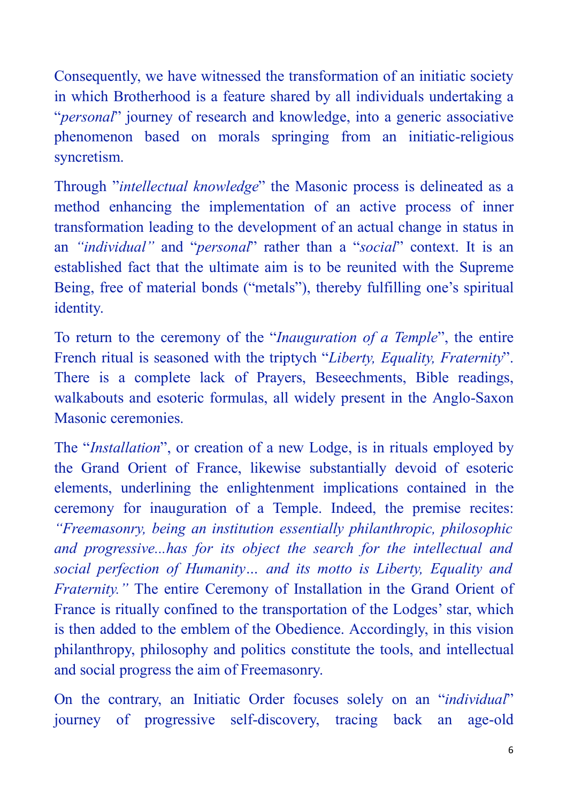Consequently, we have witnessed the transformation of an initiatic society in which Brotherhood is a feature shared by all individuals undertaking a "*personal*" journey of research and knowledge, into a generic associative phenomenon based on morals springing from an initiatic-religious syncretism.

Through "*intellectual knowledge*" the Masonic process is delineated as a method enhancing the implementation of an active process of inner transformation leading to the development of an actual change in status in an *"individual"* and "*personal*" rather than a "*social*" context. It is an established fact that the ultimate aim is to be reunited with the Supreme Being, free of material bonds ("metals"), thereby fulfilling one's spiritual identity.

To return to the ceremony of the "*Inauguration of a Temple*", the entire French ritual is seasoned with the triptych "*Liberty, Equality, Fraternity*". There is a complete lack of Prayers, Beseechments, Bible readings, walkabouts and esoteric formulas, all widely present in the Anglo-Saxon Masonic ceremonies.

The "*Installation*", or creation of a new Lodge, is in rituals employed by the Grand Orient of France, likewise substantially devoid of esoteric elements, underlining the enlightenment implications contained in the ceremony for inauguration of a Temple. Indeed, the premise recites: *"Freemasonry, being an institution essentially philanthropic, philosophic and progressive...has for its object the search for the intellectual and social perfection of Humanity… and its motto is Liberty, Equality and Fraternity."* The entire Ceremony of Installation in the Grand Orient of France is ritually confined to the transportation of the Lodges' star, which is then added to the emblem of the Obedience. Accordingly, in this vision philanthropy, philosophy and politics constitute the tools, and intellectual and social progress the aim of Freemasonry.

On the contrary, an Initiatic Order focuses solely on an "*individual*" journey of progressive self-discovery, tracing back an age-old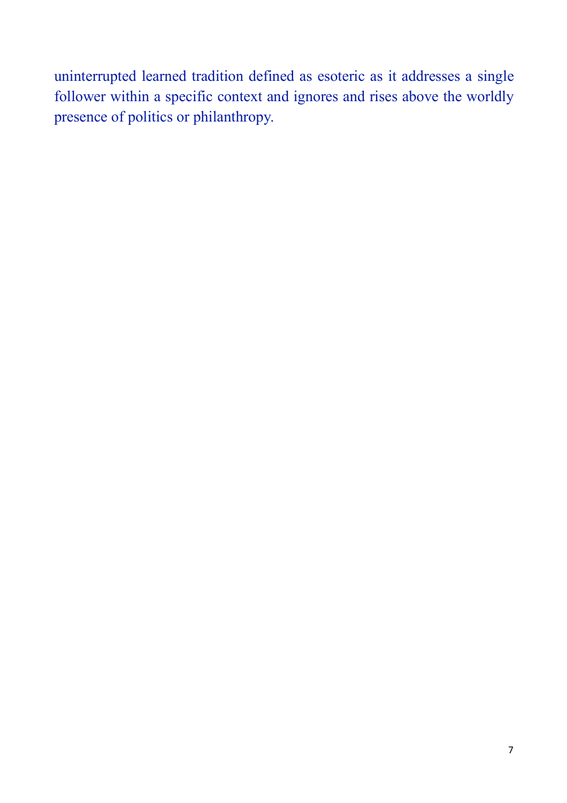uninterrupted learned tradition defined as esoteric as it addresses a single follower within a specific context and ignores and rises above the worldly presence of politics or philanthropy.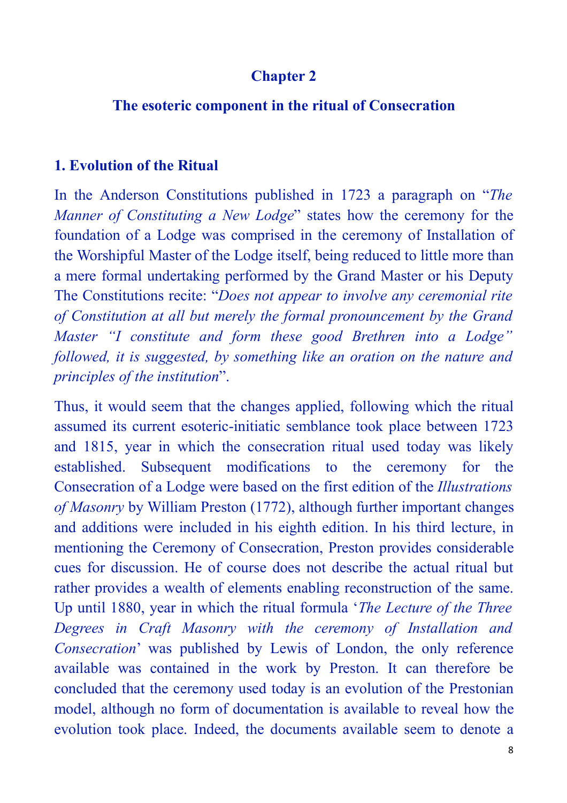#### **Chapter 2**

#### **The esoteric component in the ritual of Consecration**

#### **1. Evolution of the Ritual**

In the Anderson Constitutions published in 1723 a paragraph on "*The Manner of Constituting a New Lodge*" states how the ceremony for the foundation of a Lodge was comprised in the ceremony of Installation of the Worshipful Master of the Lodge itself, being reduced to little more than a mere formal undertaking performed by the Grand Master or his Deputy The Constitutions recite: "*Does not appear to involve any ceremonial rite of Constitution at all but merely the formal pronouncement by the Grand Master "I constitute and form these good Brethren into a Lodge" followed, it is suggested, by something like an oration on the nature and principles of the institution*".

Thus, it would seem that the changes applied, following which the ritual assumed its current esoteric-initiatic semblance took place between 1723 and 1815, year in which the consecration ritual used today was likely established. Subsequent modifications to the ceremony for the Consecration of a Lodge were based on the first edition of the *Illustrations of Masonry* by William Preston (1772), although further important changes and additions were included in his eighth edition. In his third lecture, in mentioning the Ceremony of Consecration, Preston provides considerable cues for discussion. He of course does not describe the actual ritual but rather provides a wealth of elements enabling reconstruction of the same. Up until 1880, year in which the ritual formula '*The Lecture of the Three Degrees in Craft Masonry with the ceremony of Installation and Consecration*' was published by Lewis of London, the only reference available was contained in the work by Preston. It can therefore be concluded that the ceremony used today is an evolution of the Prestonian model, although no form of documentation is available to reveal how the evolution took place. Indeed, the documents available seem to denote a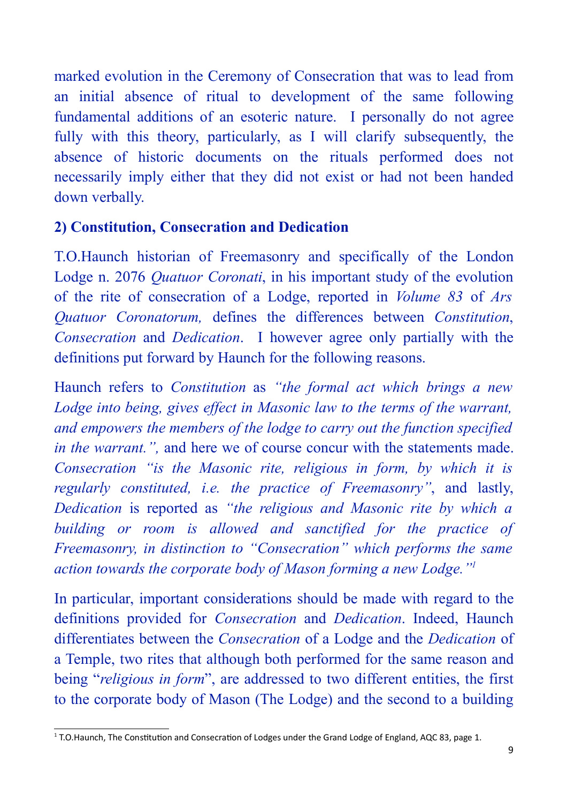marked evolution in the Ceremony of Consecration that was to lead from an initial absence of ritual to development of the same following fundamental additions of an esoteric nature. I personally do not agree fully with this theory, particularly, as I will clarify subsequently, the absence of historic documents on the rituals performed does not necessarily imply either that they did not exist or had not been handed down verbally.

### **2) Constitution, Consecration and Dedication**

T.O.Haunch historian of Freemasonry and specifically of the London Lodge n. 2076 *Quatuor Coronati*, in his important study of the evolution of the rite of consecration of a Lodge, reported in *Volume 83* of *Ars Quatuor Coronatorum,* defines the differences between *Constitution*, *Consecration* and *Dedication*. I however agree only partially with the definitions put forward by Haunch for the following reasons.

Haunch refers to *Constitution* as *"the formal act which brings a new Lodge into being, gives effect in Masonic law to the terms of the warrant, and empowers the members of the lodge to carry out the function specified in the warrant.",* and here we of course concur with the statements made. *Consecration "is the Masonic rite, religious in form, by which it is regularly constituted, i.e. the practice of Freemasonry"*, and lastly, *Dedication* is reported as *"the religious and Masonic rite by which a building or room is allowed and sanctified for the practice of Freemasonry, in distinction to "Consecration" which performs the same action towards the corporate body of Mason forming a new Lodge."1*

In particular, important considerations should be made with regard to the definitions provided for *Consecration* and *Dedication*. Indeed, Haunch differentiates between the *Consecration* of a Lodge and the *Dedication* of a Temple, two rites that although both performed for the same reason and being "*religious in form*", are addressed to two different entities, the first to the corporate body of Mason (The Lodge) and the second to a building

<sup>&</sup>lt;sup>1</sup> T.O.Haunch, The Constitution and Consecration of Lodges under the Grand Lodge of England, AQC 83, page 1.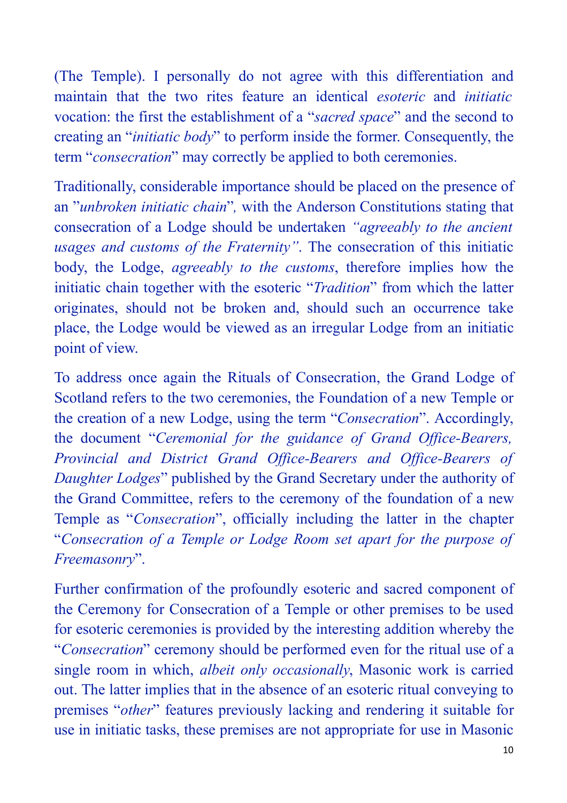(The Temple). I personally do not agree with this differentiation and maintain that the two rites feature an identical *esoteric* and *initiatic* vocation: the first the establishment of a "*sacred space*" and the second to creating an "*initiatic body*" to perform inside the former. Consequently, the term "*consecration*" may correctly be applied to both ceremonies.

Traditionally, considerable importance should be placed on the presence of an "*unbroken initiatic chain*"*,* with the Anderson Constitutions stating that consecration of a Lodge should be undertaken *"agreeably to the ancient usages and customs of the Fraternity"*. The consecration of this initiatic body, the Lodge, *agreeably to the customs*, therefore implies how the initiatic chain together with the esoteric "*Tradition*" from which the latter originates, should not be broken and, should such an occurrence take place, the Lodge would be viewed as an irregular Lodge from an initiatic point of view.

To address once again the Rituals of Consecration, the Grand Lodge of Scotland refers to the two ceremonies, the Foundation of a new Temple or the creation of a new Lodge, using the term "*Consecration*". Accordingly, the document "*Ceremonial for the guidance of Grand Office-Bearers, Provincial and District Grand Office-Bearers and Office-Bearers of Daughter Lodges*" published by the Grand Secretary under the authority of the Grand Committee, refers to the ceremony of the foundation of a new Temple as "*Consecration*", officially including the latter in the chapter "*Consecration of a Temple or Lodge Room set apart for the purpose of Freemasonry*".

Further confirmation of the profoundly esoteric and sacred component of the Ceremony for Consecration of a Temple or other premises to be used for esoteric ceremonies is provided by the interesting addition whereby the "*Consecration*" ceremony should be performed even for the ritual use of a single room in which, *albeit only occasionally*, Masonic work is carried out. The latter implies that in the absence of an esoteric ritual conveying to premises "*other*" features previously lacking and rendering it suitable for use in initiatic tasks, these premises are not appropriate for use in Masonic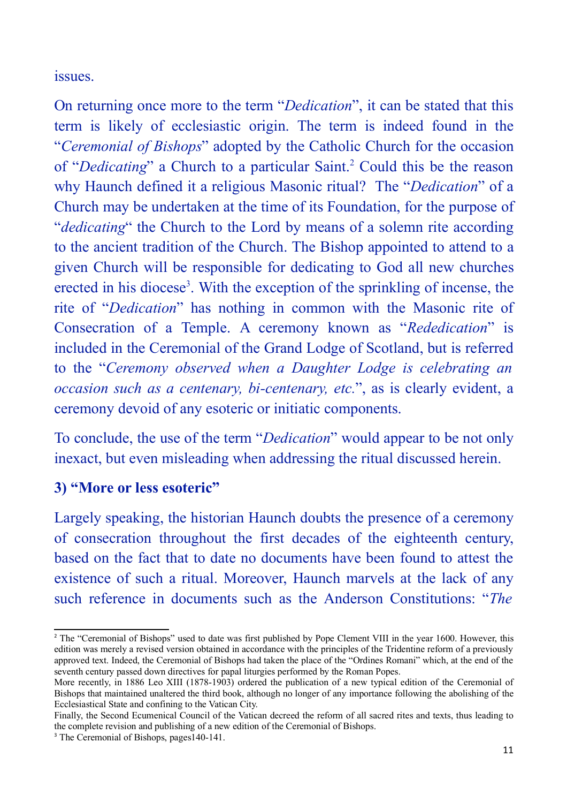issues.

On returning once more to the term "*Dedication*", it can be stated that this term is likely of ecclesiastic origin. The term is indeed found in the "*Ceremonial of Bishops*" adopted by the Catholic Church for the occasion of "*Dedicating*" a Church to a particular Saint.<sup>2</sup> Could this be the reason why Haunch defined it a religious Masonic ritual? The "*Dedication*" of a Church may be undertaken at the time of its Foundation, for the purpose of "*dedicating*" the Church to the Lord by means of a solemn rite according to the ancient tradition of the Church. The Bishop appointed to attend to a given Church will be responsible for dedicating to God all new churches erected in his diocese<sup>3</sup>. With the exception of the sprinkling of incense, the rite of "*Dedication*" has nothing in common with the Masonic rite of Consecration of a Temple. A ceremony known as "*Rededication*" is included in the Ceremonial of the Grand Lodge of Scotland, but is referred to the "*Ceremony observed when a Daughter Lodge is celebrating an occasion such as a centenary, bi-centenary, etc.*", as is clearly evident, a ceremony devoid of any esoteric or initiatic components.

To conclude, the use of the term "*Dedication*" would appear to be not only inexact, but even misleading when addressing the ritual discussed herein.

#### **3) "More or less esoteric"**

Largely speaking, the historian Haunch doubts the presence of a ceremony of consecration throughout the first decades of the eighteenth century, based on the fact that to date no documents have been found to attest the existence of such a ritual. Moreover, Haunch marvels at the lack of any such reference in documents such as the Anderson Constitutions: "*The*

<sup>&</sup>lt;sup>2</sup> The "Ceremonial of Bishops" used to date was first published by Pope Clement VIII in the year 1600. However, this edition was merely a revised version obtained in accordance with the principles of the Tridentine reform of a previously approved text. Indeed, the Ceremonial of Bishops had taken the place of the "Ordines Romani" which, at the end of the seventh century passed down directives for papal liturgies performed by the Roman Popes.

More recently, in 1886 Leo XIII (1878-1903) ordered the publication of a new typical edition of the Ceremonial of Bishops that maintained unaltered the third book, although no longer of any importance following the abolishing of the Ecclesiastical State and confining to the Vatican City.

Finally, the Second Ecumenical Council of the Vatican decreed the reform of all sacred rites and texts, thus leading to the complete revision and publishing of a new edition of the Ceremonial of Bishops.

<sup>&</sup>lt;sup>3</sup> The Ceremonial of Bishops, pages140-141.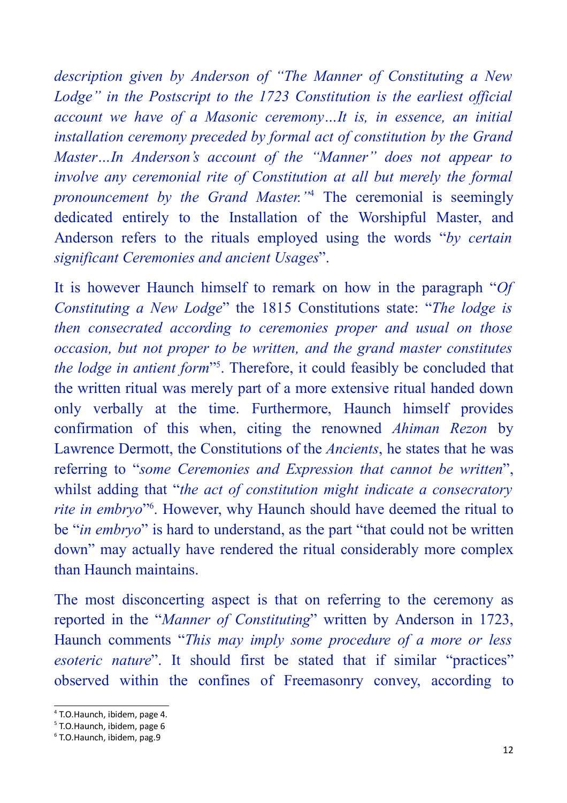*description given by Anderson of "The Manner of Constituting a New Lodge" in the Postscript to the 1723 Constitution is the earliest official account we have of a Masonic ceremony…It is, in essence, an initial installation ceremony preceded by formal act of constitution by the Grand Master…In Anderson's account of the "Manner" does not appear to involve any ceremonial rite of Constitution at all but merely the formal pronouncement by the Grand Master."*<sup>4</sup> The ceremonial is seemingly dedicated entirely to the Installation of the Worshipful Master, and Anderson refers to the rituals employed using the words "*by certain significant Ceremonies and ancient Usages*".

It is however Haunch himself to remark on how in the paragraph "*Of Constituting a New Lodge*" the 1815 Constitutions state: "*The lodge is then consecrated according to ceremonies proper and usual on those occasion, but not proper to be written, and the grand master constitutes the lodge in antient form*"<sup>5</sup>. Therefore, it could feasibly be concluded that the written ritual was merely part of a more extensive ritual handed down only verbally at the time. Furthermore, Haunch himself provides confirmation of this when, citing the renowned *Ahiman Rezon* by Lawrence Dermott, the Constitutions of the *Ancients*, he states that he was referring to "*some Ceremonies and Expression that cannot be written*", whilst adding that "*the act of constitution might indicate a consecratory rite in embryo*"6 . However, why Haunch should have deemed the ritual to be "*in embryo*" is hard to understand, as the part "that could not be written down" may actually have rendered the ritual considerably more complex than Haunch maintains.

The most disconcerting aspect is that on referring to the ceremony as reported in the "*Manner of Constituting*" written by Anderson in 1723, Haunch comments "*This may imply some procedure of a more or less esoteric nature*". It should first be stated that if similar "practices" observed within the confines of Freemasonry convey, according to

<sup>&</sup>lt;sup>4</sup> T.O.Haunch, ibidem, page 4.

<sup>&</sup>lt;sup>5</sup> T.O.Haunch, ibidem, page 6

<sup>6</sup> T.O.Haunch,
ibidem,
pag.9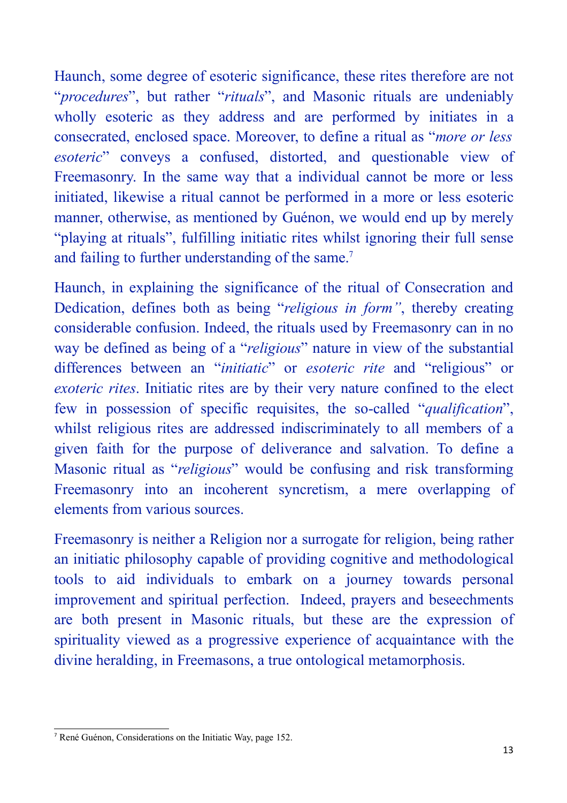Haunch, some degree of esoteric significance, these rites therefore are not "*procedures*", but rather "*rituals*", and Masonic rituals are undeniably wholly esoteric as they address and are performed by initiates in a consecrated, enclosed space. Moreover, to define a ritual as "*more or less esoteric*" conveys a confused, distorted, and questionable view of Freemasonry. In the same way that a individual cannot be more or less initiated, likewise a ritual cannot be performed in a more or less esoteric manner, otherwise, as mentioned by Guénon, we would end up by merely "playing at rituals", fulfilling initiatic rites whilst ignoring their full sense and failing to further understanding of the same.<sup>7</sup>

Haunch, in explaining the significance of the ritual of Consecration and Dedication, defines both as being "*religious in form"*, thereby creating considerable confusion. Indeed, the rituals used by Freemasonry can in no way be defined as being of a "*religious*" nature in view of the substantial differences between an "*initiatic*" or *esoteric rite* and "religious" or *exoteric rites*. Initiatic rites are by their very nature confined to the elect few in possession of specific requisites, the so-called "*qualification*", whilst religious rites are addressed indiscriminately to all members of a given faith for the purpose of deliverance and salvation. To define a Masonic ritual as "*religious*" would be confusing and risk transforming Freemasonry into an incoherent syncretism, a mere overlapping of elements from various sources.

Freemasonry is neither a Religion nor a surrogate for religion, being rather an initiatic philosophy capable of providing cognitive and methodological tools to aid individuals to embark on a journey towards personal improvement and spiritual perfection. Indeed, prayers and beseechments are both present in Masonic rituals, but these are the expression of spirituality viewed as a progressive experience of acquaintance with the divine heralding, in Freemasons, a true ontological metamorphosis.

<sup>7</sup> René Guénon, Considerations on the Initiatic Way, page 152.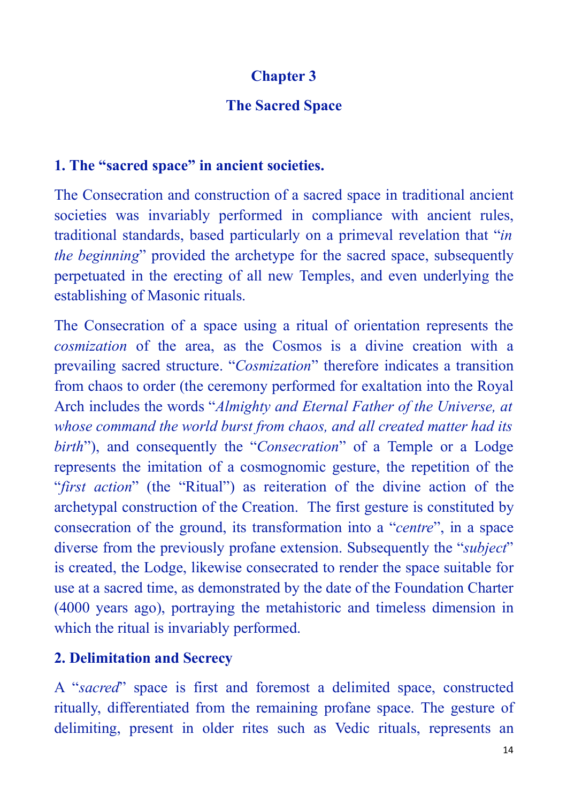# **Chapter 3**

## **The Sacred Space**

### **1. The "sacred space" in ancient societies.**

The Consecration and construction of a sacred space in traditional ancient societies was invariably performed in compliance with ancient rules, traditional standards, based particularly on a primeval revelation that "*in the beginning*" provided the archetype for the sacred space, subsequently perpetuated in the erecting of all new Temples, and even underlying the establishing of Masonic rituals.

The Consecration of a space using a ritual of orientation represents the *cosmization* of the area, as the Cosmos is a divine creation with a prevailing sacred structure. "*Cosmization*" therefore indicates a transition from chaos to order (the ceremony performed for exaltation into the Royal Arch includes the words "*Almighty and Eternal Father of the Universe, at whose command the world burst from chaos, and all created matter had its birth*"), and consequently the "*Consecration*" of a Temple or a Lodge represents the imitation of a cosmognomic gesture, the repetition of the "*first action*" (the "Ritual") as reiteration of the divine action of the archetypal construction of the Creation. The first gesture is constituted by consecration of the ground, its transformation into a "*centre*", in a space diverse from the previously profane extension. Subsequently the "*subject*" is created, the Lodge, likewise consecrated to render the space suitable for use at a sacred time, as demonstrated by the date of the Foundation Charter (4000 years ago), portraying the metahistoric and timeless dimension in which the ritual is invariably performed.

## **2. Delimitation and Secrecy**

A "*sacred*" space is first and foremost a delimited space, constructed ritually, differentiated from the remaining profane space. The gesture of delimiting, present in older rites such as Vedic rituals, represents an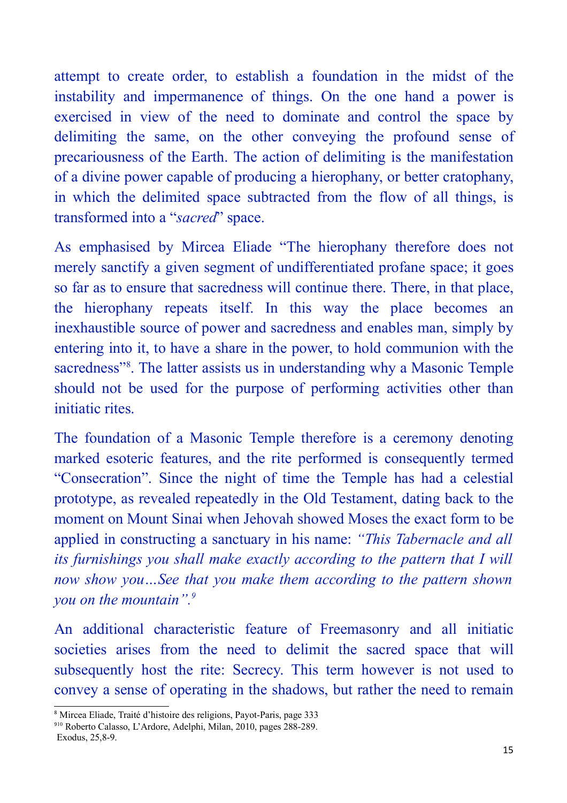attempt to create order, to establish a foundation in the midst of the instability and impermanence of things. On the one hand a power is exercised in view of the need to dominate and control the space by delimiting the same, on the other conveying the profound sense of precariousness of the Earth. The action of delimiting is the manifestation of a divine power capable of producing a hierophany, or better cratophany, in which the delimited space subtracted from the flow of all things, is transformed into a "*sacred*" space.

As emphasised by Mircea Eliade "The hierophany therefore does not merely sanctify a given segment of undifferentiated profane space; it goes so far as to ensure that sacredness will continue there. There, in that place, the hierophany repeats itself. In this way the place becomes an inexhaustible source of power and sacredness and enables man, simply by entering into it, to have a share in the power, to hold communion with the sacredness"<sup>8</sup>. The latter assists us in understanding why a Masonic Temple should not be used for the purpose of performing activities other than initiatic rites.

The foundation of a Masonic Temple therefore is a ceremony denoting marked esoteric features, and the rite performed is consequently termed "Consecration". Since the night of time the Temple has had a celestial prototype, as revealed repeatedly in the Old Testament, dating back to the moment on Mount Sinai when Jehovah showed Moses the exact form to be applied in constructing a sanctuary in his name: *"This Tabernacle and all its furnishings you shall make exactly according to the pattern that I will now show you…See that you make them according to the pattern shown you on the mountain".9*

An additional characteristic feature of Freemasonry and all initiatic societies arises from the need to delimit the sacred space that will subsequently host the rite: Secrecy. This term however is not used to convey a sense of operating in the shadows, but rather the need to remain

<sup>8</sup> Mircea Eliade, Traité d'histoire des religions, Payot-Paris, page 333

<sup>9</sup>10 Roberto Calasso, L'Ardore, Adelphi, Milan, 2010, pages 288-289. Exodus, 25,8-9.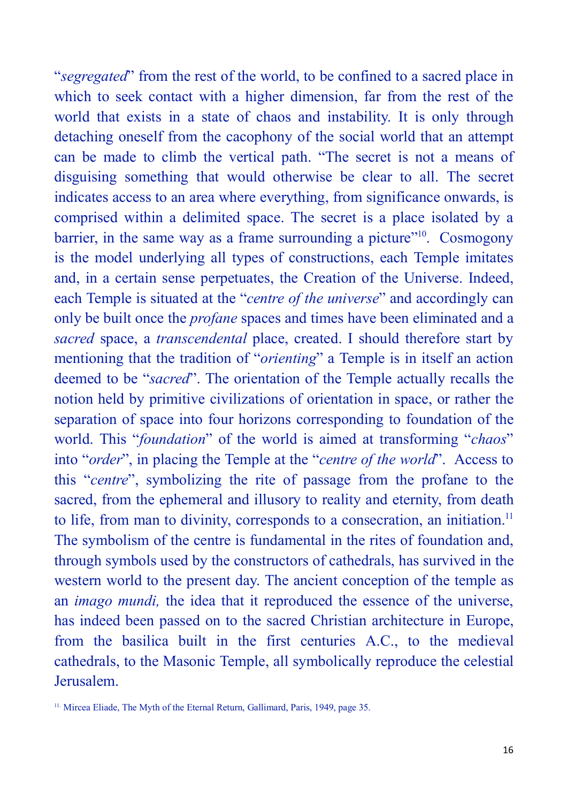"*segregated*" from the rest of the world, to be confined to a sacred place in which to seek contact with a higher dimension, far from the rest of the world that exists in a state of chaos and instability. It is only through detaching oneself from the cacophony of the social world that an attempt can be made to climb the vertical path. "The secret is not a means of disguising something that would otherwise be clear to all. The secret indicates access to an area where everything, from significance onwards, is comprised within a delimited space. The secret is a place isolated by a barrier, in the same way as a frame surrounding a picture"<sup>10</sup>. Cosmogony is the model underlying all types of constructions, each Temple imitates and, in a certain sense perpetuates, the Creation of the Universe. Indeed, each Temple is situated at the "*centre of the universe*" and accordingly can only be built once the *profane* spaces and times have been eliminated and a *sacred* space, a *transcendental* place, created. I should therefore start by mentioning that the tradition of "*orienting*" a Temple is in itself an action deemed to be "*sacred*". The orientation of the Temple actually recalls the notion held by primitive civilizations of orientation in space, or rather the separation of space into four horizons corresponding to foundation of the world. This "*foundation*" of the world is aimed at transforming "*chaos*" into "*order*", in placing the Temple at the "*centre of the world*". Access to this "*centre*", symbolizing the rite of passage from the profane to the sacred, from the ephemeral and illusory to reality and eternity, from death to life, from man to divinity, corresponds to a consecration, an initiation.<sup>11</sup> The symbolism of the centre is fundamental in the rites of foundation and, through symbols used by the constructors of cathedrals, has survived in the western world to the present day. The ancient conception of the temple as an *imago mundi,* the idea that it reproduced the essence of the universe, has indeed been passed on to the sacred Christian architecture in Europe, from the basilica built in the first centuries A.C., to the medieval cathedrals, to the Masonic Temple, all symbolically reproduce the celestial Jerusalem.

<sup>&</sup>lt;sup>11.</sup> Mircea Eliade, The Myth of the Eternal Return, Gallimard, Paris, 1949, page 35.